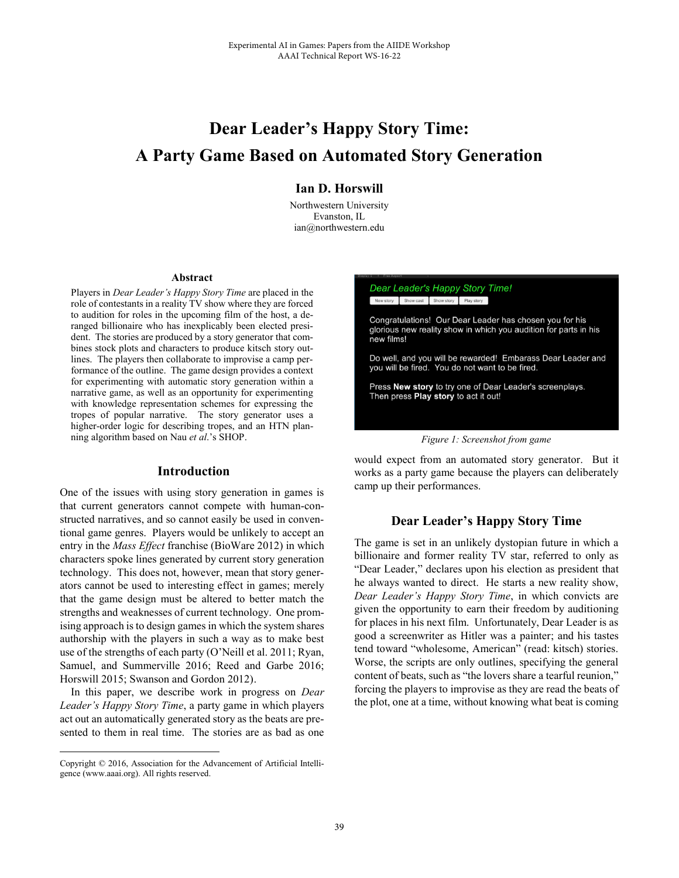# **Dear Leader's Happy Story Time: A Party Game Based on Automated Story Generation**

## **Ian D. Horswill**

Northwestern University Evanston, IL ian@northwestern.edu

#### **Abstract**

Players in *Dear Leader's Happy Story Time* are placed in the role of contestants in a reality TV show where they are forced to audition for roles in the upcoming film of the host, a deranged billionaire who has inexplicably been elected president. The stories are produced by a story generator that combines stock plots and characters to produce kitsch story outlines. The players then collaborate to improvise a camp performance of the outline. The game design provides a context for experimenting with automatic story generation within a narrative game, as well as an opportunity for experimenting with knowledge representation schemes for expressing the tropes of popular narrative. The story generator uses a higher-order logic for describing tropes, and an HTN planning algorithm based on Nau *et al*.'s SHOP.

#### **Introduction**

One of the issues with using story generation in games is that current generators cannot compete with human-constructed narratives, and so cannot easily be used in conventional game genres. Players would be unlikely to accept an entry in the *Mass Effect* franchise (BioWare 2012) in which characters spoke lines generated by current story generation technology. This does not, however, mean that story generators cannot be used to interesting effect in games; merely that the game design must be altered to better match the strengths and weaknesses of current technology. One promising approach is to design games in which the system shares authorship with the players in such a way as to make best use of the strengths of each party (O'Neill et al. 2011; Ryan, Samuel, and Summerville 2016; Reed and Garbe 2016; Horswill 2015; Swanson and Gordon 2012).

 In this paper, we describe work in progress on *Dear Leader's Happy Story Time*, a party game in which players act out an automatically generated story as the beats are presented to them in real time. The stories are as bad as one

 $\overline{a}$ 



would expect from an automated story generator. But it works as a party game because the players can deliberately camp up their performances.

## **Dear Leader's Happy Story Time**

The game is set in an unlikely dystopian future in which a billionaire and former reality TV star, referred to only as "Dear Leader," declares upon his election as president that he always wanted to direct. He starts a new reality show, *Dear Leader's Happy Story Time*, in which convicts are given the opportunity to earn their freedom by auditioning for places in his next film. Unfortunately, Dear Leader is as good a screenwriter as Hitler was a painter; and his tastes tend toward "wholesome, American" (read: kitsch) stories. Worse, the scripts are only outlines, specifying the general content of beats, such as "the lovers share a tearful reunion," forcing the players to improvise as they are read the beats of the plot, one at a time, without knowing what beat is coming

Copyright © 2016, Association for the Advancement of Artificial Intelligence (www.aaai.org). All rights reserved.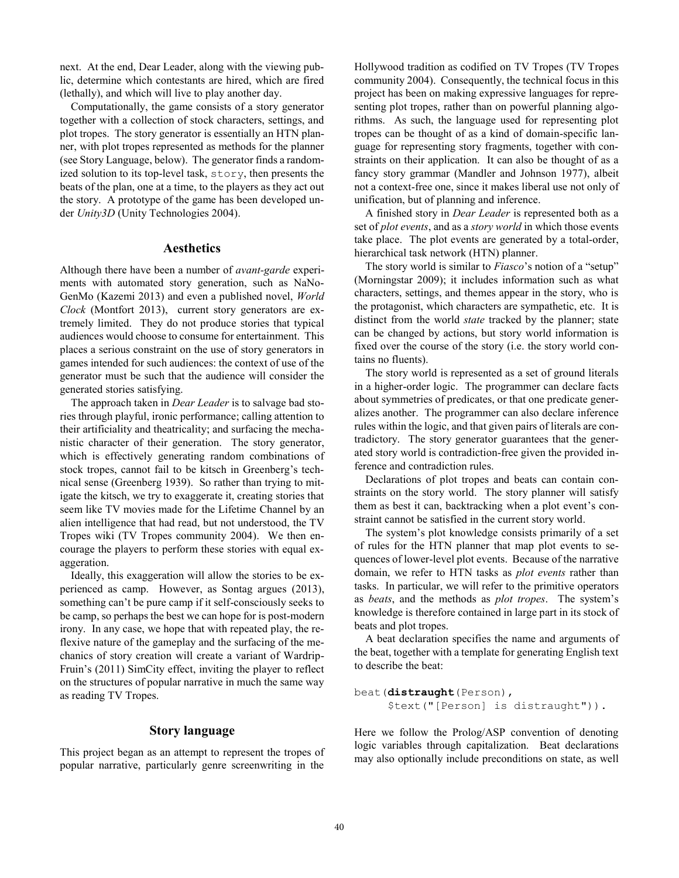next. At the end, Dear Leader, along with the viewing public, determine which contestants are hired, which are fired (lethally), and which will live to play another day.

 Computationally, the game consists of a story generator together with a collection of stock characters, settings, and plot tropes. The story generator is essentially an HTN planner, with plot tropes represented as methods for the planner (see Story Language, below). The generator finds a randomized solution to its top-level task, story, then presents the beats of the plan, one at a time, to the players as they act out the story. A prototype of the game has been developed under *Unity3D* (Unity Technologies 2004).

## **Aesthetics**

Although there have been a number of *avant-garde* experiments with automated story generation, such as NaNo-GenMo (Kazemi 2013) and even a published novel, *World Clock* (Montfort 2013), current story generators are extremely limited. They do not produce stories that typical audiences would choose to consume for entertainment. This places a serious constraint on the use of story generators in games intended for such audiences: the context of use of the generator must be such that the audience will consider the generated stories satisfying.

 The approach taken in *Dear Leader* is to salvage bad stories through playful, ironic performance; calling attention to their artificiality and theatricality; and surfacing the mechanistic character of their generation. The story generator, which is effectively generating random combinations of stock tropes, cannot fail to be kitsch in Greenberg's technical sense (Greenberg 1939). So rather than trying to mitigate the kitsch, we try to exaggerate it, creating stories that seem like TV movies made for the Lifetime Channel by an alien intelligence that had read, but not understood, the TV Tropes wiki (TV Tropes community 2004). We then encourage the players to perform these stories with equal exaggeration.

 Ideally, this exaggeration will allow the stories to be experienced as camp. However, as Sontag argues (2013), something can't be pure camp if it self-consciously seeks to be camp, so perhaps the best we can hope for is post-modern irony. In any case, we hope that with repeated play, the reflexive nature of the gameplay and the surfacing of the mechanics of story creation will create a variant of Wardrip-Fruin's (2011) SimCity effect, inviting the player to reflect on the structures of popular narrative in much the same way as reading TV Tropes.

## **Story language**

This project began as an attempt to represent the tropes of popular narrative, particularly genre screenwriting in the

Hollywood tradition as codified on TV Tropes (TV Tropes community 2004). Consequently, the technical focus in this project has been on making expressive languages for representing plot tropes, rather than on powerful planning algorithms. As such, the language used for representing plot tropes can be thought of as a kind of domain-specific language for representing story fragments, together with constraints on their application. It can also be thought of as a fancy story grammar (Mandler and Johnson 1977), albeit not a context-free one, since it makes liberal use not only of unification, but of planning and inference.

 A finished story in *Dear Leader* is represented both as a set of *plot events*, and as a *story world* in which those events take place. The plot events are generated by a total-order, hierarchical task network (HTN) planner.

 The story world is similar to *Fiasco*'s notion of a "setup" (Morningstar 2009); it includes information such as what characters, settings, and themes appear in the story, who is the protagonist, which characters are sympathetic, etc. It is distinct from the world *state* tracked by the planner; state can be changed by actions, but story world information is fixed over the course of the story (i.e. the story world contains no fluents).

 The story world is represented as a set of ground literals in a higher-order logic. The programmer can declare facts about symmetries of predicates, or that one predicate generalizes another. The programmer can also declare inference rules within the logic, and that given pairs of literals are contradictory. The story generator guarantees that the generated story world is contradiction-free given the provided inference and contradiction rules.

 Declarations of plot tropes and beats can contain constraints on the story world. The story planner will satisfy them as best it can, backtracking when a plot event's constraint cannot be satisfied in the current story world.

The system's plot knowledge consists primarily of a set of rules for the HTN planner that map plot events to sequences of lower-level plot events. Because of the narrative domain, we refer to HTN tasks as *plot events* rather than tasks. In particular, we will refer to the primitive operators as *beats*, and the methods as *plot tropes*. The system's knowledge is therefore contained in large part in its stock of beats and plot tropes.

 A beat declaration specifies the name and arguments of the beat, together with a template for generating English text to describe the beat:

```
beat(distraught(Person),
      $text("[Person] is distraught")).
```
Here we follow the Prolog/ASP convention of denoting logic variables through capitalization. Beat declarations may also optionally include preconditions on state, as well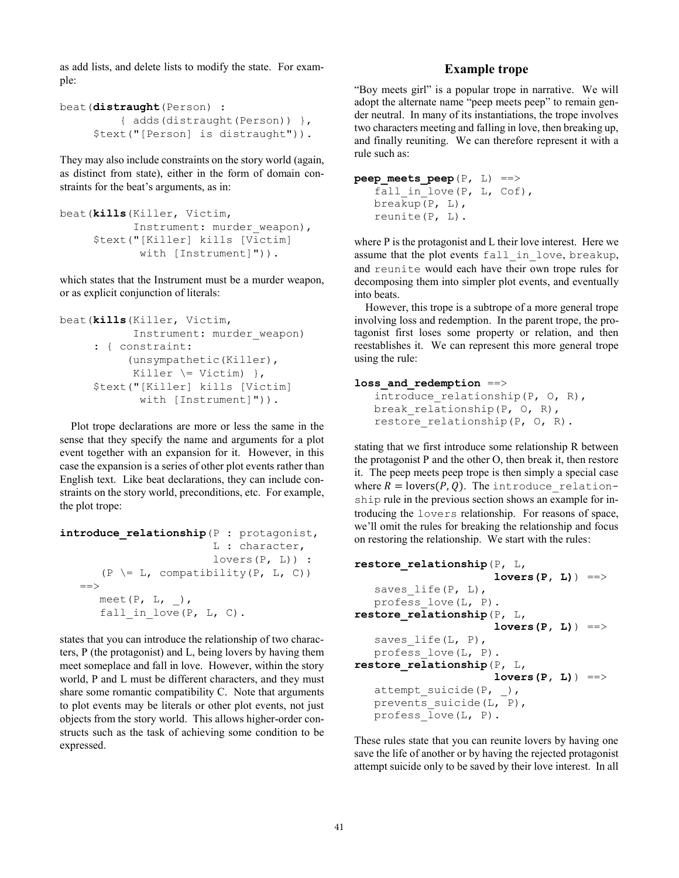as add lists, and delete lists to modify the state. For example:

```
beat(distraught(Person) : 
          { adds(distraught(Person)) }, 
      $text("[Person] is distraught")).
```
They may also include constraints on the story world (again, as distinct from state), either in the form of domain constraints for the beat's arguments, as in:

```
beat(kills(Killer, Victim,
           Instrument: murder weapon),
      $text("[Killer] kills [Victim]
             with [Instrument]")).
```
which states that the Instrument must be a murder weapon, or as explicit conjunction of literals:

```
beat(kills(Killer, Victim,
            Instrument: murder weapon)
      : { constraint: 
            (unsympathetic(Killer), 
           Killer \leq Victim) },
      $text("[Killer] kills [Victim]
             with [Instrument]")).
```
 Plot trope declarations are more or less the same in the sense that they specify the name and arguments for a plot event together with an expansion for it. However, in this case the expansion is a series of other plot events rather than English text. Like beat declarations, they can include constraints on the story world, preconditions, etc. For example, the plot trope:

```
introduce_relationship(P : protagonist, 
                         L : character, 
                         lovers(P, L)) : 
      (P \leq L, compatibility(P, L, C))
   =meet(P, L, \_),
      fall in love (P, L, C).
```
states that you can introduce the relationship of two characters, P (the protagonist) and L, being lovers by having them meet someplace and fall in love. However, within the story world, P and L must be different characters, and they must share some romantic compatibility C. Note that arguments to plot events may be literals or other plot events, not just objects from the story world. This allows higher-order constructs such as the task of achieving some condition to be expressed.

## **Example trope**

"Boy meets girl" is a popular trope in narrative. We will adopt the alternate name "peep meets peep" to remain gender neutral. In many of its instantiations, the trope involves two characters meeting and falling in love, then breaking up, and finally reuniting. We can therefore represent it with a rule such as:

```
peep meets \text{peep}(P, L) ==>
   fall in love (P, L, Cof),
   breakup(P, L),
    reunite(P, L).
```
where P is the protagonist and L their love interest. Here we assume that the plot events fall in love, breakup, and reunite would each have their own trope rules for decomposing them into simpler plot events, and eventually into beats.

However, this trope is a subtrope of a more general trope involving loss and redemption. In the parent trope, the protagonist first loses some property or relation, and then reestablishes it. We can represent this more general trope using the rule:

### loss and redemption ==>

```
introduce relationship(P, O, R),
break relationship(P, O, R),
restore relationship(P, O, R).
```
stating that we first introduce some relationship R between the protagonist P and the other O, then break it, then restore it. The peep meets peep trope is then simply a special case where  $R = \text{lovers}(P, Q)$ . The introduce relationship rule in the previous section shows an example for introducing the lovers relationship. For reasons of space, we'll omit the rules for breaking the relationship and focus on restoring the relationship. We start with the rules:

```
restore_relationship(P, L,
                       lovers(P, L)) ==>
   saves life(P, L),
    profess_love(L, P).
restore_relationship(P, L, 
                       lovers(P, L)) ==>
   saves life(L, P),
    profess_love(L, P).
restore_relationship(P, L, 
                       lovers(P, L)) ==>
   attempt suicide(P, _{}),
   prevents suicide(L, P),
    profess_love(L, P).
```
These rules state that you can reunite lovers by having one save the life of another or by having the rejected protagonist attempt suicide only to be saved by their love interest. In all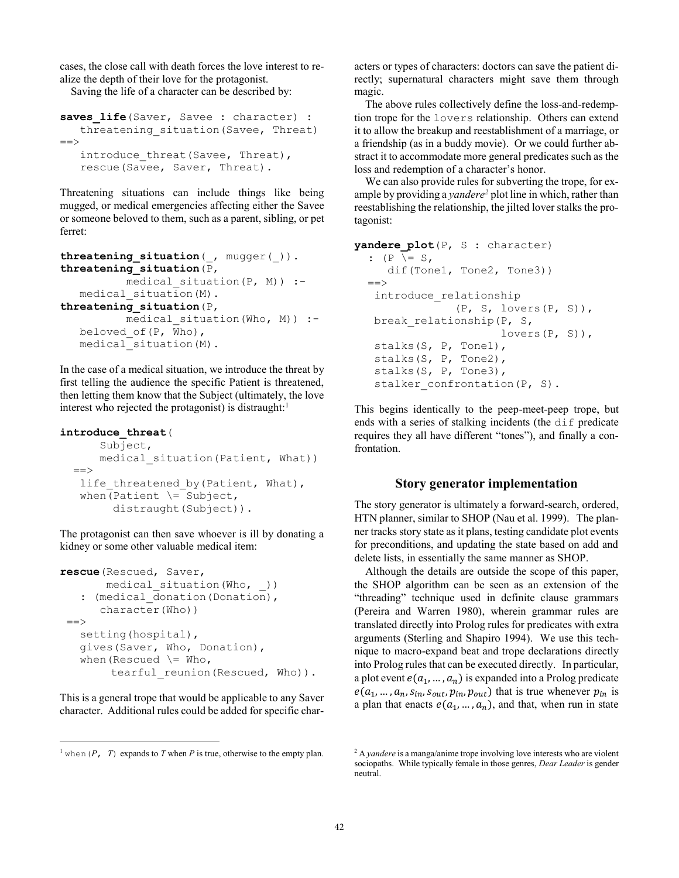cases, the close call with death forces the love interest to realize the depth of their love for the protagonist.

Saving the life of a character can be described by:

```
saves life(Saver, Savee : character) :
   threatening situation(Savee, Threat)
=introduce threat(Savee, Threat),
    rescue(Savee, Saver, Threat).
```
Threatening situations can include things like being mugged, or medical emergencies affecting either the Savee or someone beloved to them, such as a parent, sibling, or pet ferret:

```
threatening_situation(_, mugger(_)).
threatening_situation(P,
         medical situation(P, M)) :-medical situation(M).
threatening_situation(P,
         medical situation(Who, M)) :-
   beloved_of(P, Who),
   medical_situation(M).
```
In the case of a medical situation, we introduce the threat by first telling the audience the specific Patient is threatened, then letting them know that the Subject (ultimately, the love interest who rejected the protagonist) is distraught:<sup>1</sup>

#### **introduce\_threat**(

 $\overline{a}$ 

```
 Subject, 
    medical situation(Patient, What))
=life threatened by (Patient, What),
when(Patient \leq Subject,
       distraught(Subject)).
```
The protagonist can then save whoever is ill by donating a kidney or some other valuable medical item:

```
rescue(Rescued, Saver,
       medical situation(Who, ))
   : (medical donation(Donation),
       character(Who))
 = setting(hospital),
    gives(Saver, Who, Donation),
   when(Rescued \geq Who,
        tearful reunion(Rescued, Who)).
```
This is a general trope that would be applicable to any Saver character. Additional rules could be added for specific characters or types of characters: doctors can save the patient directly; supernatural characters might save them through magic.

The above rules collectively define the loss-and-redemption trope for the lovers relationship. Others can extend it to allow the breakup and reestablishment of a marriage, or a friendship (as in a buddy movie). Or we could further abstract it to accommodate more general predicates such as the loss and redemption of a character's honor.

We can also provide rules for subverting the trope, for example by providing a *yandere*<sup>2</sup> plot line in which, rather than reestablishing the relationship, the jilted lover stalks the protagonist:

```
yandere_plot(P, S : character) 
  : (P \leq S, dif(Tone1, Tone2, Tone3)) 
   ==>
    introduce_relationship
                 (P, S, lovers(P, S)),
   break relationship(P, S,
                         lovers(P, S)),
    stalks(S, P, Tone1),
    stalks(S, P, Tone2),
    stalks(S, P, Tone3),
   stalker confrontation(P, S).
```
This begins identically to the peep-meet-peep trope, but ends with a series of stalking incidents (the dif predicate requires they all have different "tones"), and finally a confrontation.

#### **Story generator implementation**

The story generator is ultimately a forward-search, ordered, HTN planner, similar to SHOP (Nau et al. 1999). The planner tracks story state as it plans, testing candidate plot events for preconditions, and updating the state based on add and delete lists, in essentially the same manner as SHOP.

 Although the details are outside the scope of this paper, the SHOP algorithm can be seen as an extension of the "threading" technique used in definite clause grammars (Pereira and Warren 1980), wherein grammar rules are translated directly into Prolog rules for predicates with extra arguments (Sterling and Shapiro 1994). We use this technique to macro-expand beat and trope declarations directly into Prolog rules that can be executed directly. In particular, a plot event  $e(a_1, ..., a_n)$  is expanded into a Prolog predicate  $e(a_1, ..., a_n, s_{in}, s_{out}, p_{in}, p_{out})$  that is true whenever  $p_{in}$  is a plan that enacts  $e(a_1, ..., a_n)$ , and that, when run in state

<sup>&</sup>lt;sup>1</sup> when  $(P, T)$  expands to *T* when *P* is true, otherwise to the empty plan.

<sup>2</sup> A *yandere* is a manga/anime trope involving love interests who are violent sociopaths. While typically female in those genres, *Dear Leader* is gender neutral.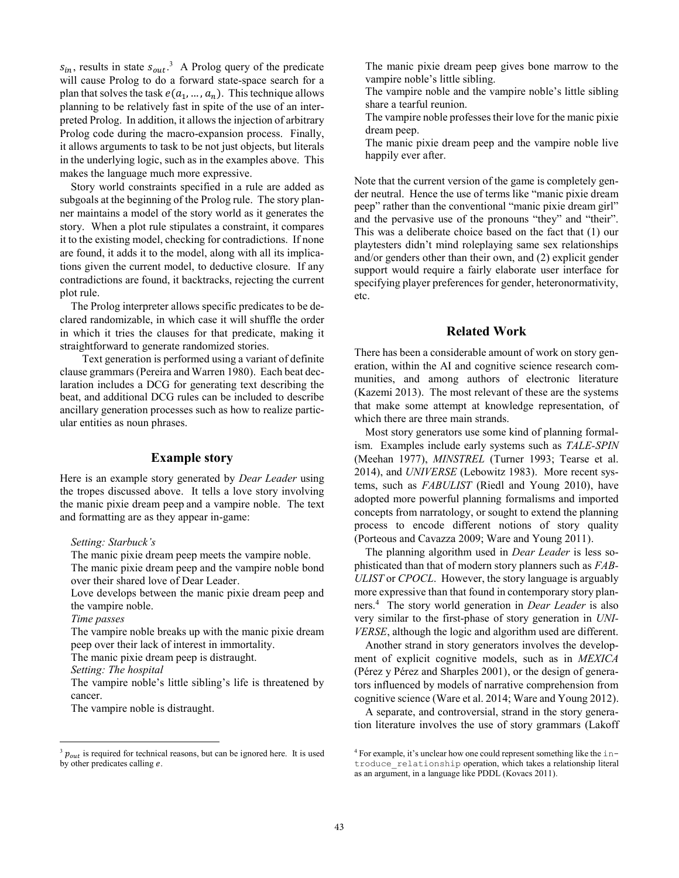$s_{in}$ , results in state  $s_{out}$ <sup>3</sup> A Prolog query of the predicate will cause Prolog to do a forward state-space search for a plan that solves the task  $e(a_1, ..., a_n)$ . This technique allows planning to be relatively fast in spite of the use of an interpreted Prolog. In addition, it allows the injection of arbitrary Prolog code during the macro-expansion process. Finally, it allows arguments to task to be not just objects, but literals in the underlying logic, such as in the examples above. This makes the language much more expressive.

 Story world constraints specified in a rule are added as subgoals at the beginning of the Prolog rule. The story planner maintains a model of the story world as it generates the story. When a plot rule stipulates a constraint, it compares it to the existing model, checking for contradictions. If none are found, it adds it to the model, along with all its implications given the current model, to deductive closure. If any contradictions are found, it backtracks, rejecting the current plot rule.

 The Prolog interpreter allows specific predicates to be declared randomizable, in which case it will shuffle the order in which it tries the clauses for that predicate, making it straightforward to generate randomized stories.

 Text generation is performed using a variant of definite clause grammars (Pereira and Warren 1980). Each beat declaration includes a DCG for generating text describing the beat, and additional DCG rules can be included to describe ancillary generation processes such as how to realize particular entities as noun phrases.

## **Example story**

Here is an example story generated by *Dear Leader* using the tropes discussed above. It tells a love story involving the manic pixie dream peep and a vampire noble. The text and formatting are as they appear in-game:

*Setting: Starbuck's*

The manic pixie dream peep meets the vampire noble. The manic pixie dream peep and the vampire noble bond over their shared love of Dear Leader.

Love develops between the manic pixie dream peep and the vampire noble.

*Time passes* 

 $\overline{a}$ 

The vampire noble breaks up with the manic pixie dream peep over their lack of interest in immortality.

The manic pixie dream peep is distraught.

*Setting: The hospital* 

The vampire noble's little sibling's life is threatened by cancer.

The vampire noble is distraught.

The manic pixie dream peep gives bone marrow to the vampire noble's little sibling.

The vampire noble and the vampire noble's little sibling share a tearful reunion.

The vampire noble professes their love for the manic pixie dream peep.

The manic pixie dream peep and the vampire noble live happily ever after.

Note that the current version of the game is completely gender neutral. Hence the use of terms like "manic pixie dream peep" rather than the conventional "manic pixie dream girl" and the pervasive use of the pronouns "they" and "their". This was a deliberate choice based on the fact that (1) our playtesters didn't mind roleplaying same sex relationships and/or genders other than their own, and (2) explicit gender support would require a fairly elaborate user interface for specifying player preferences for gender, heteronormativity, etc.

## **Related Work**

There has been a considerable amount of work on story generation, within the AI and cognitive science research communities, and among authors of electronic literature (Kazemi 2013). The most relevant of these are the systems that make some attempt at knowledge representation, of which there are three main strands.

 Most story generators use some kind of planning formalism. Examples include early systems such as *TALE-SPIN* (Meehan 1977), *MINSTREL* (Turner 1993; Tearse et al. 2014), and *UNIVERSE* (Lebowitz 1983). More recent systems, such as *FABULIST* (Riedl and Young 2010), have adopted more powerful planning formalisms and imported concepts from narratology, or sought to extend the planning process to encode different notions of story quality (Porteous and Cavazza 2009; Ware and Young 2011).

 The planning algorithm used in *Dear Leader* is less sophisticated than that of modern story planners such as *FAB-ULIST* or *CPOCL*. However, the story language is arguably more expressive than that found in contemporary story planners.4 The story world generation in *Dear Leader* is also very similar to the first-phase of story generation in *UNI-VERSE*, although the logic and algorithm used are different.

 Another strand in story generators involves the development of explicit cognitive models, such as in *MEXICA* (Pérez y Pérez and Sharples 2001), or the design of generators influenced by models of narrative comprehension from cognitive science (Ware et al. 2014; Ware and Young 2012).

 A separate, and controversial, strand in the story generation literature involves the use of story grammars (Lakoff

 $3 p_{out}$  is required for technical reasons, but can be ignored here. It is used by other predicates calling  $e$ .

<sup>&</sup>lt;sup>4</sup> For example, it's unclear how one could represent something like the introduce\_relationship operation, which takes a relationship literal as an argument, in a language like PDDL (Kovacs 2011).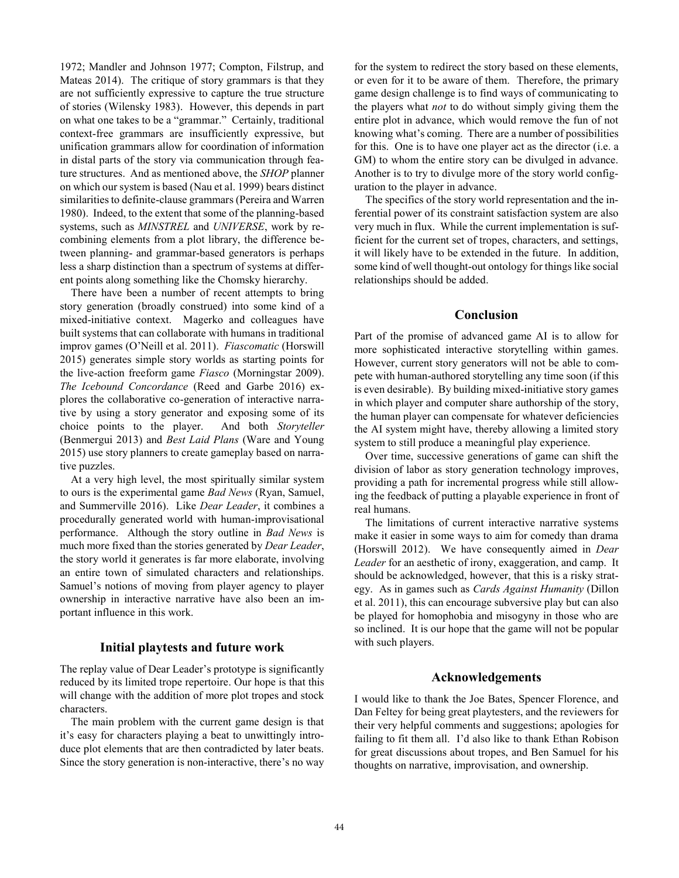1972; Mandler and Johnson 1977; Compton, Filstrup, and Mateas 2014). The critique of story grammars is that they are not sufficiently expressive to capture the true structure of stories (Wilensky 1983). However, this depends in part on what one takes to be a "grammar." Certainly, traditional context-free grammars are insufficiently expressive, but unification grammars allow for coordination of information in distal parts of the story via communication through feature structures. And as mentioned above, the *SHOP* planner on which our system is based (Nau et al. 1999) bears distinct similarities to definite-clause grammars (Pereira and Warren 1980). Indeed, to the extent that some of the planning-based systems, such as *MINSTREL* and *UNIVERSE*, work by recombining elements from a plot library, the difference between planning- and grammar-based generators is perhaps less a sharp distinction than a spectrum of systems at different points along something like the Chomsky hierarchy.

 There have been a number of recent attempts to bring story generation (broadly construed) into some kind of a mixed-initiative context. Magerko and colleagues have built systems that can collaborate with humans in traditional improv games (O'Neill et al. 2011). *Fiascomatic* (Horswill 2015) generates simple story worlds as starting points for the live-action freeform game *Fiasco* (Morningstar 2009). *The Icebound Concordance* (Reed and Garbe 2016) explores the collaborative co-generation of interactive narrative by using a story generator and exposing some of its choice points to the player. And both *Storyteller* (Benmergui 2013) and *Best Laid Plans* (Ware and Young 2015) use story planners to create gameplay based on narrative puzzles.

 At a very high level, the most spiritually similar system to ours is the experimental game *Bad News* (Ryan, Samuel, and Summerville 2016). Like *Dear Leader*, it combines a procedurally generated world with human-improvisational performance. Although the story outline in *Bad News* is much more fixed than the stories generated by *Dear Leader*, the story world it generates is far more elaborate, involving an entire town of simulated characters and relationships. Samuel's notions of moving from player agency to player ownership in interactive narrative have also been an important influence in this work.

## **Initial playtests and future work**

The replay value of Dear Leader's prototype is significantly reduced by its limited trope repertoire. Our hope is that this will change with the addition of more plot tropes and stock characters.

 The main problem with the current game design is that it's easy for characters playing a beat to unwittingly introduce plot elements that are then contradicted by later beats. Since the story generation is non-interactive, there's no way

for the system to redirect the story based on these elements, or even for it to be aware of them. Therefore, the primary game design challenge is to find ways of communicating to the players what *not* to do without simply giving them the entire plot in advance, which would remove the fun of not knowing what's coming. There are a number of possibilities for this. One is to have one player act as the director (i.e. a GM) to whom the entire story can be divulged in advance. Another is to try to divulge more of the story world configuration to the player in advance.

 The specifics of the story world representation and the inferential power of its constraint satisfaction system are also very much in flux. While the current implementation is sufficient for the current set of tropes, characters, and settings, it will likely have to be extended in the future. In addition, some kind of well thought-out ontology for things like social relationships should be added.

#### **Conclusion**

Part of the promise of advanced game AI is to allow for more sophisticated interactive storytelling within games. However, current story generators will not be able to compete with human-authored storytelling any time soon (if this is even desirable). By building mixed-initiative story games in which player and computer share authorship of the story, the human player can compensate for whatever deficiencies the AI system might have, thereby allowing a limited story system to still produce a meaningful play experience.

 Over time, successive generations of game can shift the division of labor as story generation technology improves, providing a path for incremental progress while still allowing the feedback of putting a playable experience in front of real humans.

 The limitations of current interactive narrative systems make it easier in some ways to aim for comedy than drama (Horswill 2012). We have consequently aimed in *Dear Leader* for an aesthetic of irony, exaggeration, and camp. It should be acknowledged, however, that this is a risky strategy. As in games such as *Cards Against Humanity* (Dillon et al. 2011), this can encourage subversive play but can also be played for homophobia and misogyny in those who are so inclined. It is our hope that the game will not be popular with such players.

## **Acknowledgements**

I would like to thank the Joe Bates, Spencer Florence, and Dan Feltey for being great playtesters, and the reviewers for their very helpful comments and suggestions; apologies for failing to fit them all. I'd also like to thank Ethan Robison for great discussions about tropes, and Ben Samuel for his thoughts on narrative, improvisation, and ownership.